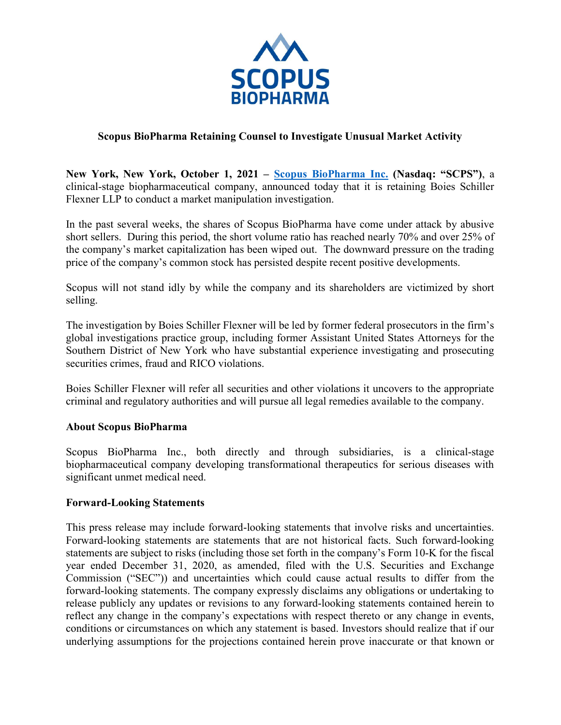

## Scopus BioPharma Retaining Counsel to Investigate Unusual Market Activity

New York, New York, October 1, 2021 – Scopus BioPharma Inc. (Nasdaq: "SCPS"), a clinical-stage biopharmaceutical company, announced today that it is retaining Boies Schiller Flexner LLP to conduct a market manipulation investigation.

In the past several weeks, the shares of Scopus BioPharma have come under attack by abusive short sellers. During this period, the short volume ratio has reached nearly 70% and over 25% of the company's market capitalization has been wiped out. The downward pressure on the trading price of the company's common stock has persisted despite recent positive developments.

Scopus will not stand idly by while the company and its shareholders are victimized by short selling.

The investigation by Boies Schiller Flexner will be led by former federal prosecutors in the firm's global investigations practice group, including former Assistant United States Attorneys for the Southern District of New York who have substantial experience investigating and prosecuting securities crimes, fraud and RICO violations.

Boies Schiller Flexner will refer all securities and other violations it uncovers to the appropriate criminal and regulatory authorities and will pursue all legal remedies available to the company.

## About Scopus BioPharma

Scopus BioPharma Inc., both directly and through subsidiaries, is a clinical-stage biopharmaceutical company developing transformational therapeutics for serious diseases with significant unmet medical need.

## Forward-Looking Statements

This press release may include forward-looking statements that involve risks and uncertainties. Forward-looking statements are statements that are not historical facts. Such forward-looking statements are subject to risks (including those set forth in the company's Form 10-K for the fiscal year ended December 31, 2020, as amended, filed with the U.S. Securities and Exchange Commission ("SEC")) and uncertainties which could cause actual results to differ from the forward-looking statements. The company expressly disclaims any obligations or undertaking to release publicly any updates or revisions to any forward-looking statements contained herein to reflect any change in the company's expectations with respect thereto or any change in events, conditions or circumstances on which any statement is based. Investors should realize that if our underlying assumptions for the projections contained herein prove inaccurate or that known or